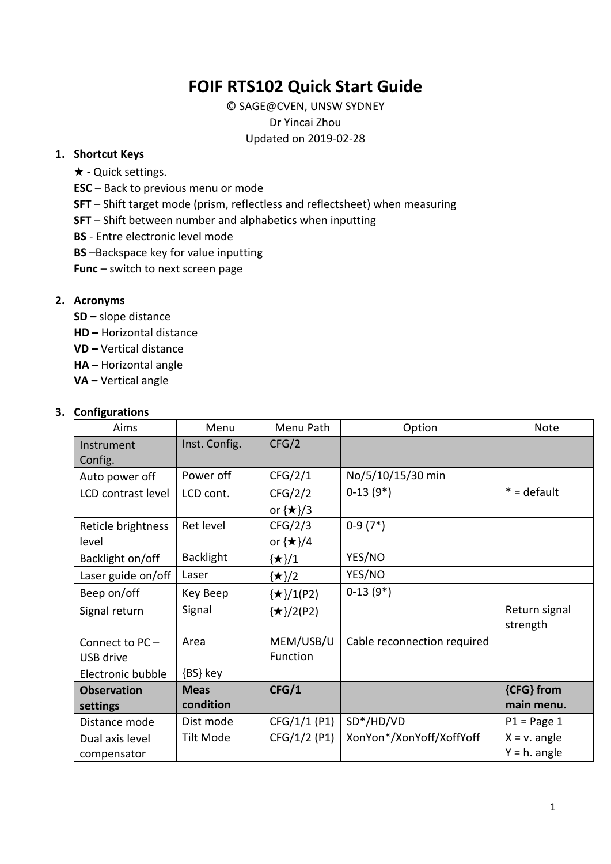# **FOIF RTS102 Quick Start Guide**

© SAGE@CVEN, UNSW SYDNEY Dr Yincai Zhou Updated on 2019-02-28

#### **1. Shortcut Keys**

- ★ Quick settings.
- **ESC** Back to previous menu or mode
- **SFT** Shift target mode (prism, reflectless and reflectsheet) when measuring
- **SFT** Shift between number and alphabetics when inputting
- **BS** Entre electronic level mode
- **BS** –Backspace key for value inputting
- **Func** switch to next screen page

#### **2. Acronyms**

- **SD –** slope distance
- **HD –** Horizontal distance
- **VD –** Vertical distance
- **HA –** Horizontal angle
- **VA –** Vertical angle

#### **3. Configurations**

| Aims                           | Menu             | Menu Path                   | Option                      | <b>Note</b>                        |
|--------------------------------|------------------|-----------------------------|-----------------------------|------------------------------------|
| Instrument<br>Config.          | Inst. Config.    | CFG/2                       |                             |                                    |
| Auto power off                 | Power off        | CFG/2/1                     | No/5/10/15/30 min           |                                    |
| LCD contrast level             | LCD cont.        | CFG/2/2<br>or $\{\star\}/3$ | $0-13(9*)$                  | $* =$ default                      |
| Reticle brightness<br>level    | Ret level        | CFG/2/3<br>or $\{\star\}/4$ | $0-9(7*)$                   |                                    |
| Backlight on/off               | <b>Backlight</b> | $\{\star\}/1$               | YES/NO                      |                                    |
| Laser guide on/off             | Laser            | $\{\star\}/2$               | YES/NO                      |                                    |
| Beep on/off                    | Key Beep         | $\{\star\}/1$ (P2)          | $0-13(9*)$                  |                                    |
| Signal return                  | Signal           | $\{\star\}/2(P2)$           |                             | Return signal<br>strength          |
| Connect to PC-                 | Area             | MEM/USB/U                   | Cable reconnection required |                                    |
| USB drive                      |                  | Function                    |                             |                                    |
| Electronic bubble              | {BS} key         |                             |                             |                                    |
| <b>Observation</b>             | <b>Meas</b>      | CFG/1                       |                             | {CFG} from                         |
| settings                       | condition        |                             |                             | main menu.                         |
| Distance mode                  | Dist mode        | CFG/1/1 (P1)                | SD*/HD/VD                   | $P1 = Page 1$                      |
| Dual axis level<br>compensator | <b>Tilt Mode</b> | CFG/1/2 (P1)                | XonYon*/XonYoff/XoffYoff    | $X = v$ . angle<br>$Y = h$ . angle |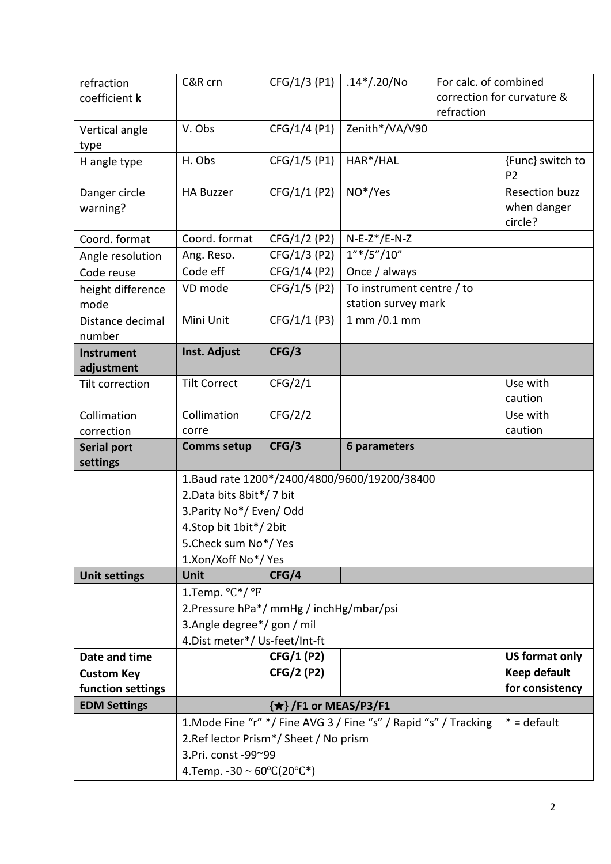| refraction<br>coefficient k | C&R crn                                                               | CFG/1/3 (P1)         | $.14*/.20/No$                                                    | For calc, of combined<br>correction for curvature & |                                                 |
|-----------------------------|-----------------------------------------------------------------------|----------------------|------------------------------------------------------------------|-----------------------------------------------------|-------------------------------------------------|
|                             |                                                                       |                      |                                                                  | refraction                                          |                                                 |
| Vertical angle              | V. Obs                                                                | CFG/1/4 (P1)         | Zenith*/VA/V90                                                   |                                                     |                                                 |
| type                        |                                                                       |                      |                                                                  |                                                     |                                                 |
| H angle type                | H. Obs                                                                | CFG/1/5 (P1)         | HAR*/HAL                                                         |                                                     | {Func} switch to<br>P <sub>2</sub>              |
| Danger circle<br>warning?   | <b>HA Buzzer</b>                                                      | CFG/1/1 (P2)         | NO*/Yes                                                          |                                                     | <b>Resection buzz</b><br>when danger<br>circle? |
| Coord. format               | Coord. format                                                         | CFG/1/2 (P2)         | $N-E-Z*/E-N-Z$                                                   |                                                     |                                                 |
| Angle resolution            | Ang. Reso.                                                            | CFG/1/3 (P2)         | $1''*/5''/10''$                                                  |                                                     |                                                 |
| Code reuse                  | Code eff                                                              | CFG/1/4 (P2)         | Once / always                                                    |                                                     |                                                 |
| height difference<br>mode   | VD mode                                                               | CFG/1/5 (P2)         | To instrument centre / to<br>station survey mark                 |                                                     |                                                 |
| Distance decimal            | Mini Unit                                                             | CFG/1/1 (P3)         | 1 mm /0.1 mm                                                     |                                                     |                                                 |
| number                      |                                                                       |                      |                                                                  |                                                     |                                                 |
| <b>Instrument</b>           | Inst. Adjust                                                          | CFG/3                |                                                                  |                                                     |                                                 |
| adjustment                  |                                                                       |                      |                                                                  |                                                     |                                                 |
| Tilt correction             | <b>Tilt Correct</b>                                                   | CFG/2/1              |                                                                  |                                                     | Use with                                        |
|                             |                                                                       |                      |                                                                  |                                                     | caution                                         |
| Collimation                 | Collimation                                                           | CFG/2/2              |                                                                  |                                                     | Use with                                        |
| correction                  | corre                                                                 |                      |                                                                  |                                                     | caution                                         |
| <b>Serial port</b>          | <b>Comms setup</b>                                                    | CFG/3                | 6 parameters                                                     |                                                     |                                                 |
| settings                    |                                                                       |                      |                                                                  |                                                     |                                                 |
|                             | 1. Baud rate 1200*/2400/4800/9600/19200/38400                         |                      |                                                                  |                                                     |                                                 |
|                             |                                                                       |                      |                                                                  |                                                     |                                                 |
|                             | 2. Data bits 8 bit*/7 bit                                             |                      |                                                                  |                                                     |                                                 |
|                             | 3. Parity No*/ Even/ Odd                                              |                      |                                                                  |                                                     |                                                 |
|                             | 4. Stop bit 1 bit*/2 bit                                              |                      |                                                                  |                                                     |                                                 |
|                             | 5. Check sum No <sup>*</sup> / Yes                                    |                      |                                                                  |                                                     |                                                 |
|                             | 1.Xon/Xoff No*/ Yes                                                   |                      |                                                                  |                                                     |                                                 |
| <b>Unit settings</b>        | Unit                                                                  | CFG/4                |                                                                  |                                                     |                                                 |
|                             | 1.Temp. °C*/ °F                                                       |                      |                                                                  |                                                     |                                                 |
|                             | 2. Pressure hPa*/ mmHg / inchHg/mbar/psi                              |                      |                                                                  |                                                     |                                                 |
|                             | 3.Angle degree*/ gon / mil                                            |                      |                                                                  |                                                     |                                                 |
|                             | 4. Dist meter*/ Us-feet/Int-ft                                        |                      |                                                                  |                                                     |                                                 |
| Date and time               |                                                                       | CFG/1 (P2)           |                                                                  |                                                     | <b>US format only</b>                           |
| <b>Custom Key</b>           |                                                                       | <b>CFG/2 (P2)</b>    |                                                                  |                                                     | Keep default                                    |
| function settings           |                                                                       |                      |                                                                  |                                                     | for consistency                                 |
| <b>EDM Settings</b>         |                                                                       | {★}/F1 or MEAS/P3/F1 |                                                                  |                                                     |                                                 |
|                             |                                                                       |                      | 1. Mode Fine "r" */ Fine AVG 3 / Fine "s" / Rapid "s" / Tracking |                                                     | $* =$ default                                   |
|                             | 2. Ref lector Prism*/Sheet / No prism                                 |                      |                                                                  |                                                     |                                                 |
|                             | 3. Pri. const - 99~99<br>4.Temp. -30 ~ $60^{\circ}C(20^{\circ}C^{*})$ |                      |                                                                  |                                                     |                                                 |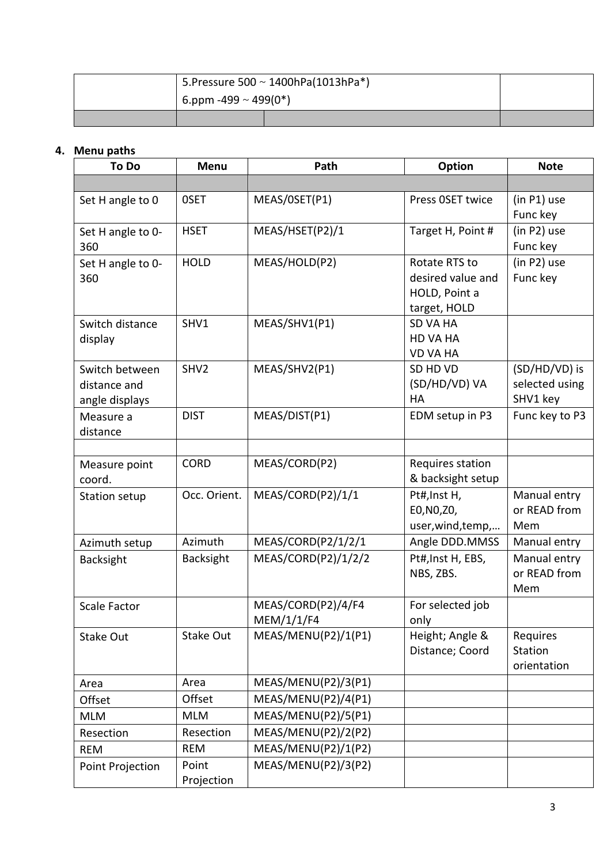| 5. Pressure 500 $\sim$ 1400hPa(1013hPa*) |  |  |
|------------------------------------------|--|--|
| $\frac{1}{2}$ 6.ppm -499 ~ 499(0*)       |  |  |
|                                          |  |  |

# **4. Menu paths**

| To Do                                            | <b>Menu</b>         | Path                             | <b>Option</b>                                                       | <b>Note</b>                                 |
|--------------------------------------------------|---------------------|----------------------------------|---------------------------------------------------------------------|---------------------------------------------|
|                                                  |                     |                                  |                                                                     |                                             |
| Set H angle to 0                                 | 0SET                | MEAS/0SET(P1)                    | Press OSET twice                                                    | $(in P1)$ use<br>Func key                   |
| Set H angle to 0-<br>360                         | <b>HSET</b>         | MEAS/HSET(P2)/1                  | Target H, Point #                                                   | (in P2) use<br>Func key                     |
| Set H angle to 0-<br>360                         | <b>HOLD</b>         | MEAS/HOLD(P2)                    | Rotate RTS to<br>desired value and<br>HOLD, Point a<br>target, HOLD | (in P2) use<br>Func key                     |
| Switch distance<br>display                       | SHV1                | MEAS/SHV1(P1)                    | <b>SD VA HA</b><br>HD VA HA<br><b>VD VA HA</b>                      |                                             |
| Switch between<br>distance and<br>angle displays | SHV <sub>2</sub>    | MEAS/SHV2(P1)                    | SD HD VD<br>(SD/HD/VD) VA<br>HA                                     | (SD/HD/VD) is<br>selected using<br>SHV1 key |
| Measure a<br>distance                            | <b>DIST</b>         | MEAS/DIST(P1)                    | EDM setup in P3                                                     | Func key to P3                              |
| Measure point<br>coord.                          | <b>CORD</b>         | MEAS/CORD(P2)                    | Requires station<br>& backsight setup                               |                                             |
| Station setup                                    | Occ. Orient.        | MEAS/CORD(P2)/1/1                | Pt#, Inst H,<br>E0, N0, Z0,<br>user, wind, temp,                    | Manual entry<br>or READ from<br>Mem         |
| Azimuth setup                                    | Azimuth             | MEAS/CORD(P2/1/2/1               | Angle DDD.MMSS                                                      | Manual entry                                |
| Backsight                                        | <b>Backsight</b>    | MEAS/CORD(P2)/1/2/2              | Pt#, Inst H, EBS,<br>NBS, ZBS.                                      | Manual entry<br>or READ from<br>Mem         |
| <b>Scale Factor</b>                              |                     | MEAS/CORD(P2)/4/F4<br>MEM/1/1/F4 | For selected job<br>only                                            |                                             |
| Stake Out                                        | Stake Out           | MEAS/MENU(P2)/1(P1)              | Height; Angle &<br>Distance; Coord                                  | Requires<br>Station<br>orientation          |
| Area                                             | Area                | MEAS/MENU(P2)/3(P1)              |                                                                     |                                             |
| Offset                                           | Offset              | MEAS/MENU(P2)/4(P1)              |                                                                     |                                             |
| <b>MLM</b>                                       | <b>MLM</b>          | MEAS/MENU(P2)/5(P1)              |                                                                     |                                             |
| Resection                                        | Resection           | MEAS/MENU(P2)/2(P2)              |                                                                     |                                             |
| <b>REM</b>                                       | <b>REM</b>          | MEAS/MENU(P2)/1(P2)              |                                                                     |                                             |
| Point Projection                                 | Point<br>Projection | MEAS/MENU(P2)/3(P2)              |                                                                     |                                             |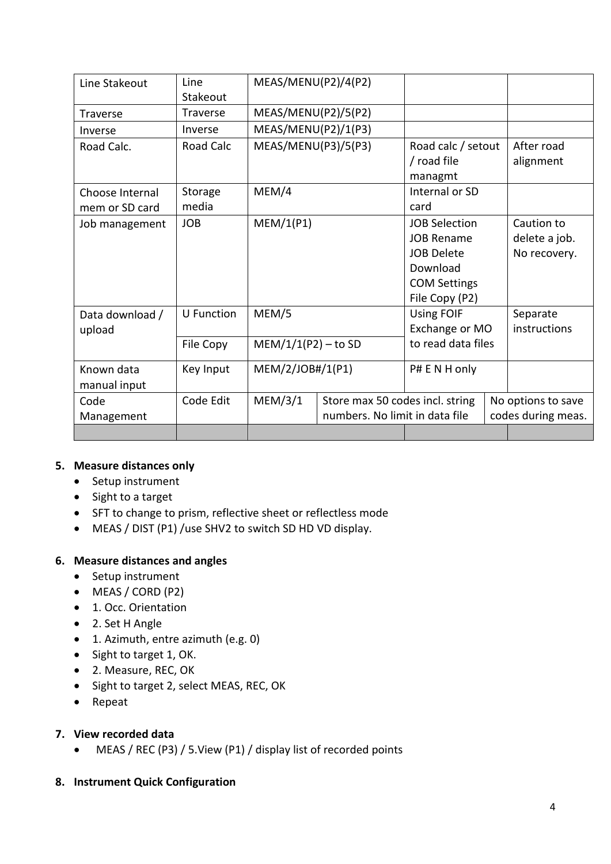| Line Stakeout   | Line              | MEAS/MENU(P2)/4(P2)                        |                                |                      |                    |                    |
|-----------------|-------------------|--------------------------------------------|--------------------------------|----------------------|--------------------|--------------------|
|                 | Stakeout          |                                            |                                |                      |                    |                    |
| <b>Traverse</b> | <b>Traverse</b>   | MEAS/MENU(P2)/5(P2)                        |                                |                      |                    |                    |
| Inverse         | Inverse           | MEAS/MENU(P2)/1(P3)                        |                                |                      |                    |                    |
| Road Calc.      | Road Calc         | MEAS/MENU(P3)/5(P3)                        |                                | Road calc / setout   |                    | After road         |
|                 |                   |                                            |                                | / road file          |                    | alignment          |
|                 |                   |                                            |                                | managmt              |                    |                    |
| Choose Internal | Storage           | MEM/4                                      |                                | Internal or SD       |                    |                    |
| mem or SD card  | media             |                                            |                                | card                 |                    |                    |
| Job management  | <b>JOB</b>        | MEM/1(P1)                                  |                                | <b>JOB Selection</b> |                    | Caution to         |
|                 |                   |                                            |                                | <b>JOB Rename</b>    |                    | delete a job.      |
|                 |                   |                                            |                                | <b>JOB Delete</b>    |                    | No recovery.       |
|                 |                   |                                            |                                | Download             |                    |                    |
|                 |                   |                                            |                                | <b>COM Settings</b>  |                    |                    |
|                 |                   |                                            | File Copy (P2)                 |                      |                    |                    |
| Data download / | <b>U</b> Function | MEM/5                                      |                                | <b>Using FOIF</b>    |                    | Separate           |
| upload          |                   |                                            |                                | Exchange or MO       |                    | instructions       |
|                 | File Copy         | $MEM/1/1(P2) - to SD$                      |                                | to read data files   |                    |                    |
| Known data      | Key Input         | MEM/2/JOB#/1(P1)                           |                                | P# E N H only        |                    |                    |
| manual input    |                   |                                            |                                |                      |                    |                    |
| Code            | Code Edit         | MEM/3/1<br>Store max 50 codes incl. string |                                |                      |                    | No options to save |
| Management      |                   |                                            | numbers. No limit in data file |                      | codes during meas. |                    |
|                 |                   |                                            |                                |                      |                    |                    |

## **5. Measure distances only**

- Setup instrument
- Sight to a target
- SFT to change to prism, reflective sheet or reflectless mode
- MEAS / DIST (P1) /use SHV2 to switch SD HD VD display.

## **6. Measure distances and angles**

- Setup instrument
- MEAS / CORD (P2)
- 1. Occ. Orientation
- 2. Set H Angle
- 1. Azimuth, entre azimuth (e.g. 0)
- Sight to target 1, OK.
- 2. Measure, REC, OK
- Sight to target 2, select MEAS, REC, OK
- Repeat

# **7. View recorded data**

• MEAS / REC (P3) / 5.View (P1) / display list of recorded points

## **8. Instrument Quick Configuration**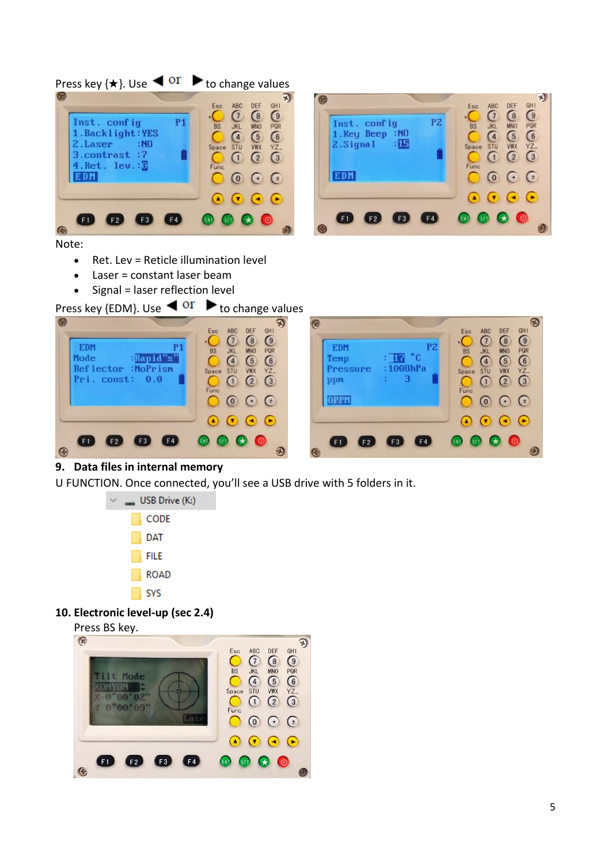

Note:

- Ret. Lev = Reticle illumination level
- Laser = constant laser beam
- Signal = laser reflection level





## **9. Data files in internal memory**

U FUNCTION. Once connected, you'll see a USB drive with 5 folders in it.



## **10. Electronic level-up (sec 2.4)**

Press BS key.  $\mathcal{D}$  $\begin{array}{c}\n\bigcirc \\
\widetilde{\mathsf{R}}\n\end{array}$ ONGE<br>ONGE Esc ABC<br>STU<br>STU<br>STU BS<br>Space<br>Func ilt Mode  $\frac{10N}{00002}$ ONYON "00'09"  $O<sub>c</sub>$  $\odot$  $\odot$  $\Omega$  $\bullet$  $\bigodot$  $\bullet$   $\bullet$   $\bullet$   $\bullet$  $\bigoplus$  $\bullet$  $\mathbf{Q}$